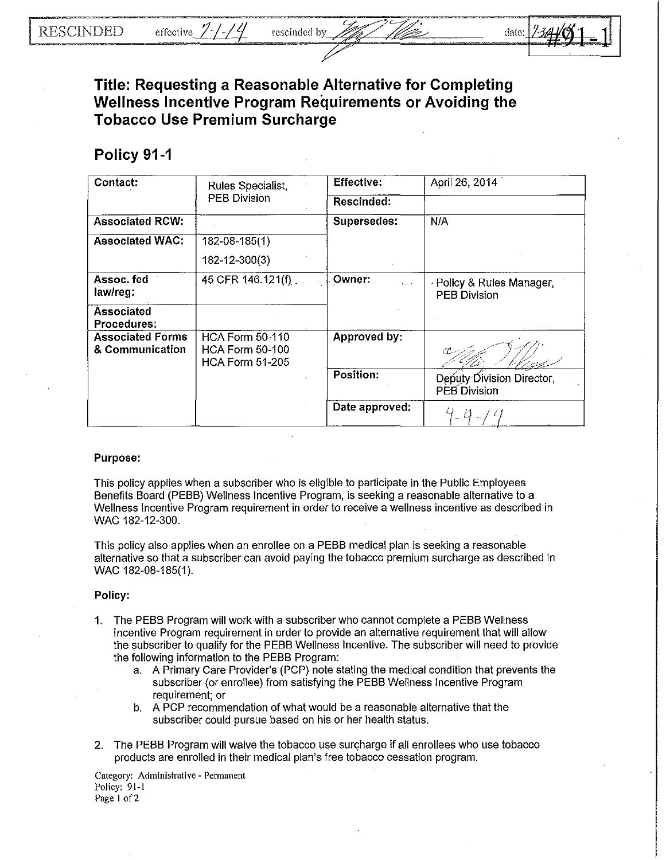

**Title: Requesting a Reasonable Alternative for Completing Wellness Incentive Program Requirements or Avoiding the Tobacco Use Premium Surcharge** 

## **Policy 91-1**

| Contact:                                   | Rules Specialist,<br><b>PEB Division</b>                                   | <b>Effective:</b> | April 26, 2014                                   |
|--------------------------------------------|----------------------------------------------------------------------------|-------------------|--------------------------------------------------|
|                                            |                                                                            | Rescinded:        |                                                  |
| <b>Associated RCW:</b>                     |                                                                            | Supersedes:       | N/A                                              |
| <b>Associated WAC:</b>                     | 182-08-185(1)                                                              |                   |                                                  |
|                                            | 182-12-300(3)                                                              |                   |                                                  |
| Assoc. fed<br>law/reg:                     | 45 CFR 146.121(f)                                                          | Owner:            | · Policy & Rules Manager,<br><b>PEB Division</b> |
| Associated<br><b>Procedures:</b>           |                                                                            |                   |                                                  |
| <b>Associated Forms</b><br>& Communication | <b>HCA Form 50-110</b><br><b>HCA Form 50-100</b><br><b>HCA Form 51-205</b> | Approved by:      |                                                  |
|                                            |                                                                            | Position:         | Deputy Division Director,<br>PEB Division        |
|                                            |                                                                            | Date approved:    |                                                  |

## Purpose:

This policy applies when a subscriber who is eligible to participate in the Public Employees Benefits Board (PEBB) Wellness Incentive Program, is seeking a reasonable alternative to a Wellness Incentive Program requirement in order to receive a wellness incentive as described in WAC 182-12-300.

This policy also applies when an enrollee on a PEBB medical plan is seeking a reasonable alternative so that a subscriber can avoid paying the tobacco premium surcharge as described in WAC 182-08-185(1).

## Policy:

- 1. The PEBB Program will work with a subscriber who cannot complete a PEBB Wellness Incentive Program requirement in order to provide an alternative requirement that will allow the subscriber to qualify for the PEBB Wellness Incentive. The subscriber will need to provide the following information to the PEBB Program:
	- a. A Primary Care Provider's (PCP) note stating the medical condition that prevents the subscriber (or enrollee) from satisfying the PEBB Wellness Incentive Program requirement; or
	- b. A PCP recommendation of what would be a reasonable alternative that the subscriber could pursue based on his or her health status.
- 2. The PEBB Program will waive the tobacco use surcharge if all enrollees who use tobacco products are enrolled in their medical plan's free tobacco cessation program.

Category: Administrative - Permanent Policy: 91-1 Page 1 of 2